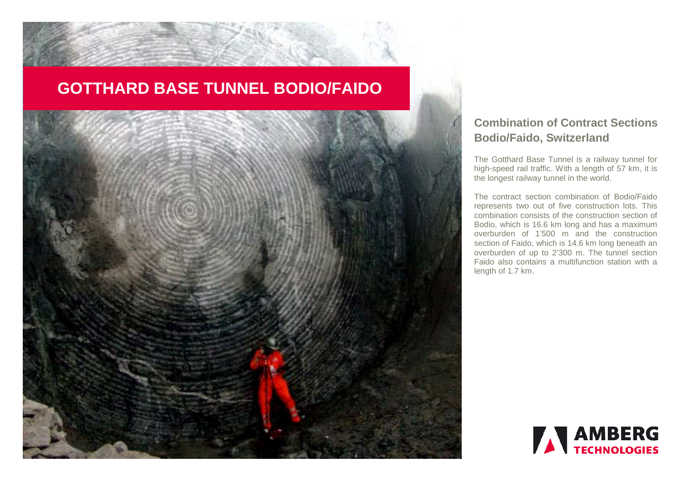# **GOTTHARD BASE TUNNEL BODIO/FAIDO**



## **Combination of Contract Sections Bodio/Faido, Switzerland**

The Gotthard Base Tunnel is a railway tunnel for high-speed rail traffic. With a length of 57 km, it is the longest railway tunnel in the world.

The contract section combination of Bodio/Faido represents two out of five construction lots. This combination consists of the construction section of Bodio, which is 16.6 km long and has a maximum overburden of 1'500 m and the construction section of Faido, which is 14.6 km long beneath an overburden of up to 2'300 m. The tunnel section Faido also contains a multifunction station with a length of 1.7 km.